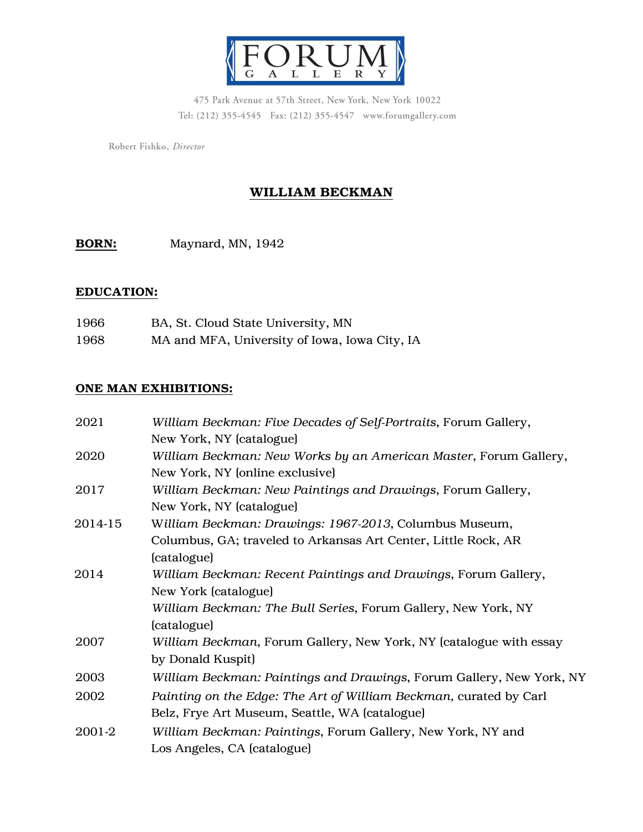

475 Park Avenue at 57th Street, New York, New York 10022 Tel: (212) 355-4545 Fax: (212) 355-4547 www.forumgallery.com

Robert Fishko, Director

# WILLIAM BECKMAN

BORN: Maynard, MN, 1942

## EDUCATION:

| 1966 | BA, St. Cloud State University, MN            |
|------|-----------------------------------------------|
| 1968 | MA and MFA, University of Iowa, Iowa City, IA |

### ONE MAN EXHIBITIONS:

| 2021    | William Beckman: Five Decades of Self-Portraits, Forum Gallery,      |
|---------|----------------------------------------------------------------------|
|         | New York, NY (catalogue)                                             |
| 2020    | William Beckman: New Works by an American Master, Forum Gallery,     |
|         | New York, NY (online exclusive)                                      |
| 2017    | William Beckman: New Paintings and Drawings, Forum Gallery,          |
|         | New York, NY (catalogue)                                             |
| 2014-15 | William Beckman: Drawings: 1967-2013, Columbus Museum,               |
|         | Columbus, GA; traveled to Arkansas Art Center, Little Rock, AR       |
|         | (catalogue)                                                          |
| 2014    | William Beckman: Recent Paintings and Drawings, Forum Gallery,       |
|         | New York (catalogue)                                                 |
|         | William Beckman: The Bull Series, Forum Gallery, New York, NY        |
|         | (catalogue)                                                          |
| 2007    | William Beckman, Forum Gallery, New York, NY (catalogue with essay   |
|         | by Donald Kuspit)                                                    |
| 2003    | William Beckman: Paintings and Drawings, Forum Gallery, New York, NY |
| 2002    | Painting on the Edge: The Art of William Beckman, curated by Carl    |
|         | Belz, Frye Art Museum, Seattle, WA (catalogue)                       |
| 2001-2  | William Beckman: Paintings, Forum Gallery, New York, NY and          |
|         | Los Angeles, CA (catalogue)                                          |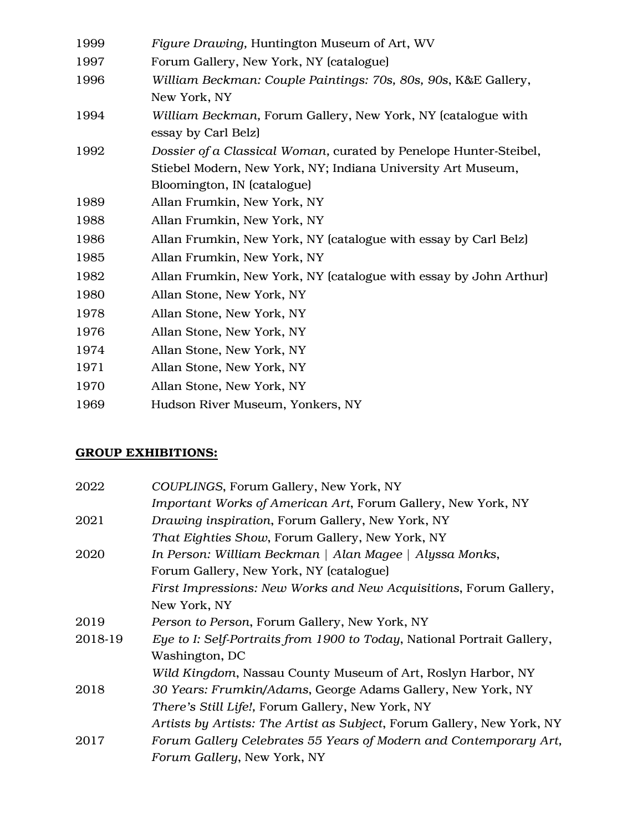| 1999 | Figure Drawing, Huntington Museum of Art, WV                                                                                                                     |
|------|------------------------------------------------------------------------------------------------------------------------------------------------------------------|
| 1997 | Forum Gallery, New York, NY (catalogue)                                                                                                                          |
| 1996 | William Beckman: Couple Paintings: 70s, 80s, 90s, K&E Gallery,<br>New York, NY                                                                                   |
| 1994 | William Beckman, Forum Gallery, New York, NY (catalogue with<br>essay by Carl Belz)                                                                              |
| 1992 | Dossier of a Classical Woman, curated by Penelope Hunter-Steibel,<br>Stiebel Modern, New York, NY; Indiana University Art Museum,<br>Bloomington, IN (catalogue) |
| 1989 | Allan Frumkin, New York, NY                                                                                                                                      |
| 1988 | Allan Frumkin, New York, NY                                                                                                                                      |
| 1986 | Allan Frumkin, New York, NY (catalogue with essay by Carl Belz)                                                                                                  |
| 1985 | Allan Frumkin, New York, NY                                                                                                                                      |
| 1982 | Allan Frumkin, New York, NY (catalogue with essay by John Arthur)                                                                                                |
| 1980 | Allan Stone, New York, NY                                                                                                                                        |
| 1978 | Allan Stone, New York, NY                                                                                                                                        |
| 1976 | Allan Stone, New York, NY                                                                                                                                        |
| 1974 | Allan Stone, New York, NY                                                                                                                                        |
| 1971 | Allan Stone, New York, NY                                                                                                                                        |
| 1970 | Allan Stone, New York, NY                                                                                                                                        |
| 1969 | Hudson River Museum, Yonkers, NY                                                                                                                                 |

# GROUP EXHIBITIONS:

| 2022    | COUPLINGS, Forum Gallery, New York, NY                                  |
|---------|-------------------------------------------------------------------------|
|         | Important Works of American Art, Forum Gallery, New York, NY            |
| 2021    | Drawing inspiration, Forum Gallery, New York, NY                        |
|         | That Eighties Show, Forum Gallery, New York, NY                         |
| 2020    | In Person: William Beckman   Alan Magee   Alyssa Monks,                 |
|         | Forum Gallery, New York, NY (catalogue)                                 |
|         | First Impressions: New Works and New Acquisitions, Forum Gallery,       |
|         | New York, NY                                                            |
| 2019    | Person to Person, Forum Gallery, New York, NY                           |
| 2018-19 | Eye to I: Self-Portraits from 1900 to Today, National Portrait Gallery, |
|         | Washington, DC                                                          |
|         | Wild Kingdom, Nassau County Museum of Art, Roslyn Harbor, NY            |
| 2018    | 30 Years: Frumkin/Adams, George Adams Gallery, New York, NY             |
|         | There's Still Life!, Forum Gallery, New York, NY                        |
|         | Artists by Artists: The Artist as Subject, Forum Gallery, New York, NY  |
| 2017    | Forum Gallery Celebrates 55 Years of Modern and Contemporary Art,       |
|         | Forum Gallery, New York, NY                                             |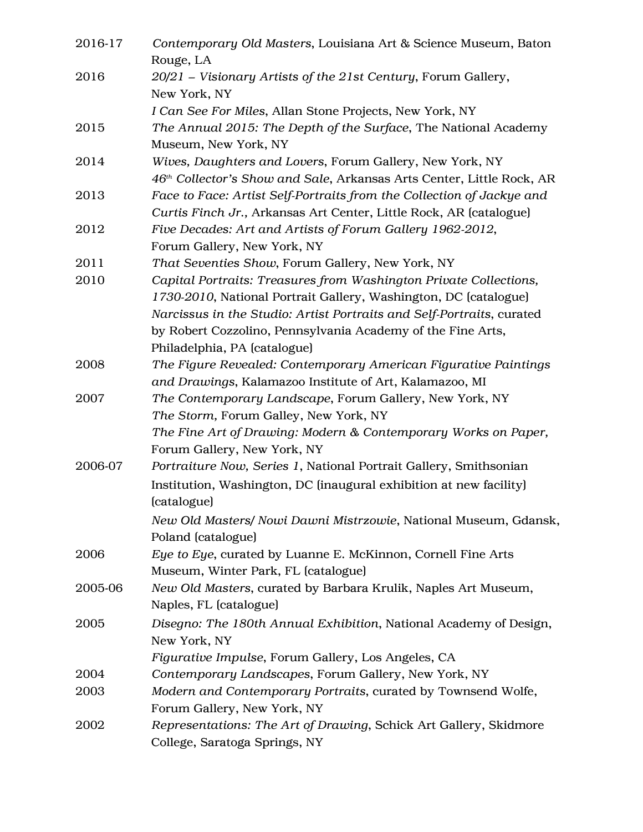| 2016-17 | Contemporary Old Masters, Louisiana Art & Science Museum, Baton<br>Rouge, LA      |
|---------|-----------------------------------------------------------------------------------|
| 2016    | 20/21 - Visionary Artists of the 21st Century, Forum Gallery,                     |
|         | New York, NY                                                                      |
|         | I Can See For Miles, Allan Stone Projects, New York, NY                           |
| 2015    | The Annual 2015: The Depth of the Surface, The National Academy                   |
|         | Museum, New York, NY                                                              |
| 2014    | Wives, Daughters and Lovers, Forum Gallery, New York, NY                          |
|         | 46th Collector's Show and Sale, Arkansas Arts Center, Little Rock, AR             |
| 2013    | Face to Face: Artist Self-Portraits from the Collection of Jackye and             |
|         | Curtis Finch Jr., Arkansas Art Center, Little Rock, AR (catalogue)                |
| 2012    | Five Decades: Art and Artists of Forum Gallery 1962-2012,                         |
|         | Forum Gallery, New York, NY                                                       |
| 2011    | That Seventies Show, Forum Gallery, New York, NY                                  |
| 2010    | Capital Portraits: Treasures from Washington Private Collections,                 |
|         | 1730-2010, National Portrait Gallery, Washington, DC (catalogue)                  |
|         | Narcissus in the Studio: Artist Portraits and Self-Portraits, curated             |
|         | by Robert Cozzolino, Pennsylvania Academy of the Fine Arts,                       |
|         | Philadelphia, PA (catalogue)                                                      |
| 2008    | The Figure Revealed: Contemporary American Figurative Paintings                   |
|         | and Drawings, Kalamazoo Institute of Art, Kalamazoo, MI                           |
| 2007    | The Contemporary Landscape, Forum Gallery, New York, NY                           |
|         | The Storm, Forum Galley, New York, NY                                             |
|         | The Fine Art of Drawing: Modern & Contemporary Works on Paper,                    |
|         | Forum Gallery, New York, NY                                                       |
| 2006-07 | Portraiture Now, Series 1, National Portrait Gallery, Smithsonian                 |
|         | Institution, Washington, DC (inaugural exhibition at new facility)<br>(catalogue) |
|         | New Old Masters/ Nowi Dawni Mistrzowie, National Museum, Gdansk,                  |
|         | Poland (catalogue)                                                                |
| 2006    | Eye to Eye, curated by Luanne E. McKinnon, Cornell Fine Arts                      |
|         | Museum, Winter Park, FL (catalogue)                                               |
| 2005-06 | New Old Masters, curated by Barbara Krulik, Naples Art Museum,                    |
|         | Naples, FL (catalogue)                                                            |
| 2005    | Disegno: The 180th Annual Exhibition, National Academy of Design,                 |
|         | New York, NY                                                                      |
|         | Figurative Impulse, Forum Gallery, Los Angeles, CA                                |
| 2004    | Contemporary Landscapes, Forum Gallery, New York, NY                              |
| 2003    | Modern and Contemporary Portraits, curated by Townsend Wolfe,                     |
|         | Forum Gallery, New York, NY                                                       |
| 2002    | Representations: The Art of Drawing, Schick Art Gallery, Skidmore                 |
|         | College, Saratoga Springs, NY                                                     |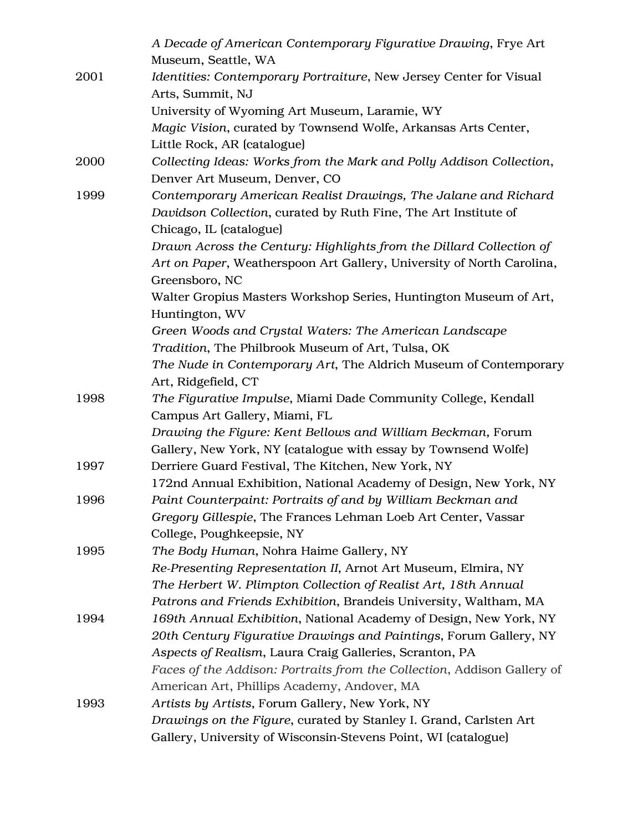|      | A Decade of American Contemporary Figurative Drawing, Frye Art          |
|------|-------------------------------------------------------------------------|
|      | Museum, Seattle, WA                                                     |
| 2001 | Identities: Contemporary Portraiture, New Jersey Center for Visual      |
|      | Arts, Summit, NJ                                                        |
|      | University of Wyoming Art Museum, Laramie, WY                           |
|      | Magic Vision, curated by Townsend Wolfe, Arkansas Arts Center,          |
|      | Little Rock, AR (catalogue)                                             |
| 2000 | Collecting Ideas: Works from the Mark and Polly Addison Collection,     |
|      | Denver Art Museum, Denver, CO                                           |
| 1999 | Contemporary American Realist Drawings, The Jalane and Richard          |
|      | Davidson Collection, curated by Ruth Fine, The Art Institute of         |
|      | Chicago, IL (catalogue)                                                 |
|      | Drawn Across the Century: Highlights from the Dillard Collection of     |
|      | Art on Paper, Weatherspoon Art Gallery, University of North Carolina,   |
|      | Greensboro, NC                                                          |
|      | Walter Gropius Masters Workshop Series, Huntington Museum of Art,       |
|      | Huntington, WV                                                          |
|      | Green Woods and Crystal Waters: The American Landscape                  |
|      | Tradition, The Philbrook Museum of Art, Tulsa, OK                       |
|      | The Nude in Contemporary Art, The Aldrich Museum of Contemporary        |
|      | Art, Ridgefield, CT                                                     |
| 1998 | The Figurative Impulse, Miami Dade Community College, Kendall           |
|      | Campus Art Gallery, Miami, FL                                           |
|      | Drawing the Figure: Kent Bellows and William Beckman, Forum             |
|      | Gallery, New York, NY (catalogue with essay by Townsend Wolfe)          |
| 1997 | Derriere Guard Festival, The Kitchen, New York, NY                      |
|      | 172nd Annual Exhibition, National Academy of Design, New York, NY       |
| 1996 | Paint Counterpaint: Portraits of and by William Beckman and             |
|      | Gregory Gillespie, The Frances Lehman Loeb Art Center, Vassar           |
|      | College, Poughkeepsie, NY                                               |
| 1995 | The Body Human, Nohra Haime Gallery, NY                                 |
|      | Re-Presenting Representation II, Arnot Art Museum, Elmira, NY           |
|      | The Herbert W. Plimpton Collection of Realist Art, 18th Annual          |
|      | Patrons and Friends Exhibition, Brandeis University, Waltham, MA        |
| 1994 | 169th Annual Exhibition, National Academy of Design, New York, NY       |
|      | 20th Century Figurative Drawings and Paintings, Forum Gallery, NY       |
|      | Aspects of Realism, Laura Craig Galleries, Scranton, PA                 |
|      | Faces of the Addison: Portraits from the Collection, Addison Gallery of |
|      | American Art, Phillips Academy, Andover, MA                             |
| 1993 | Artists by Artists, Forum Gallery, New York, NY                         |
|      | Drawings on the Figure, curated by Stanley I. Grand, Carlsten Art       |
|      | Gallery, University of Wisconsin-Stevens Point, WI (catalogue)          |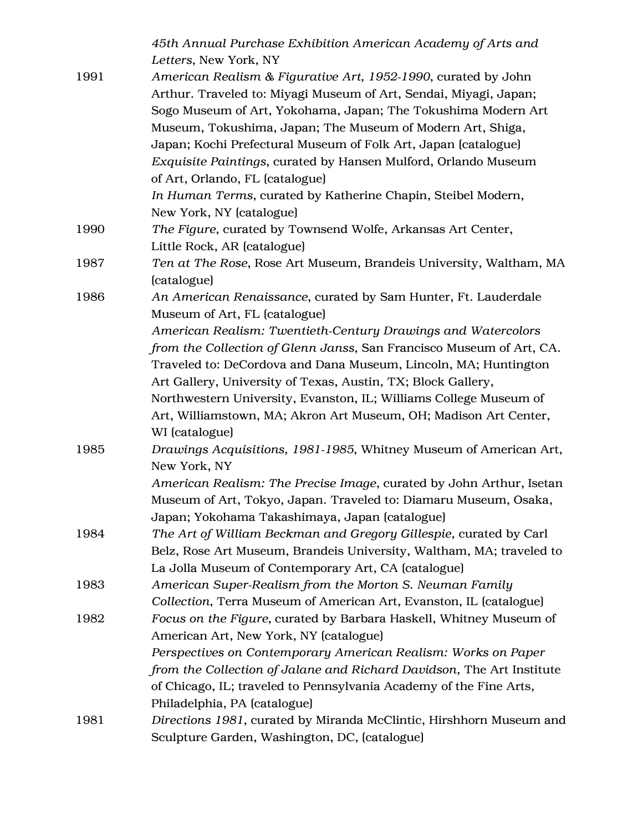|      | 45th Annual Purchase Exhibition American Academy of Arts and                                      |
|------|---------------------------------------------------------------------------------------------------|
| 1991 | Letters, New York, NY<br>American Realism & Figurative Art, 1952-1990, curated by John            |
|      | Arthur. Traveled to: Miyagi Museum of Art, Sendai, Miyagi, Japan;                                 |
|      | Sogo Museum of Art, Yokohama, Japan; The Tokushima Modern Art                                     |
|      | Museum, Tokushima, Japan; The Museum of Modern Art, Shiga,                                        |
|      | Japan; Kochi Prefectural Museum of Folk Art, Japan (catalogue)                                    |
|      |                                                                                                   |
|      | Exquisite Paintings, curated by Hansen Mulford, Orlando Museum<br>of Art, Orlando, FL (catalogue) |
|      | In Human Terms, curated by Katherine Chapin, Steibel Modern,                                      |
|      | New York, NY (catalogue)                                                                          |
| 1990 | The Figure, curated by Townsend Wolfe, Arkansas Art Center,                                       |
|      | Little Rock, AR (catalogue)                                                                       |
| 1987 | Ten at The Rose, Rose Art Museum, Brandeis University, Waltham, MA<br>(catalogue)                 |
| 1986 | An American Renaissance, curated by Sam Hunter, Ft. Lauderdale<br>Museum of Art, FL (catalogue)   |
|      | American Realism: Twentieth-Century Drawings and Watercolors                                      |
|      | from the Collection of Glenn Janss, San Francisco Museum of Art, CA.                              |
|      | Traveled to: DeCordova and Dana Museum, Lincoln, MA; Huntington                                   |
|      | Art Gallery, University of Texas, Austin, TX; Block Gallery,                                      |
|      | Northwestern University, Evanston, IL; Williams College Museum of                                 |
|      | Art, Williamstown, MA; Akron Art Museum, OH; Madison Art Center,                                  |
|      | WI (catalogue)                                                                                    |
| 1985 | Drawings Acquisitions, 1981-1985, Whitney Museum of American Art,                                 |
|      | New York, NY                                                                                      |
|      | American Realism: The Precise Image, curated by John Arthur, Isetan                               |
|      | Museum of Art, Tokyo, Japan. Traveled to: Diamaru Museum, Osaka,                                  |
|      | Japan; Yokohama Takashimaya, Japan (catalogue)                                                    |
| 1984 | The Art of William Beckman and Gregory Gillespie, curated by Carl                                 |
|      | Belz, Rose Art Museum, Brandeis University, Waltham, MA; traveled to                              |
|      | La Jolla Museum of Contemporary Art, CA (catalogue)                                               |
| 1983 | American Super-Realism from the Morton S. Neuman Family                                           |
|      | Collection, Terra Museum of American Art, Evanston, IL (catalogue)                                |
| 1982 | Focus on the Figure, curated by Barbara Haskell, Whitney Museum of                                |
|      | American Art, New York, NY (catalogue)                                                            |
|      | Perspectives on Contemporary American Realism: Works on Paper                                     |
|      | from the Collection of Jalane and Richard Davidson, The Art Institute                             |
|      | of Chicago, IL; traveled to Pennsylvania Academy of the Fine Arts,                                |
|      | Philadelphia, PA (catalogue)                                                                      |
| 1981 | Directions 1981, curated by Miranda McClintic, Hirshhorn Museum and                               |
|      | Sculpture Garden, Washington, DC, (catalogue)                                                     |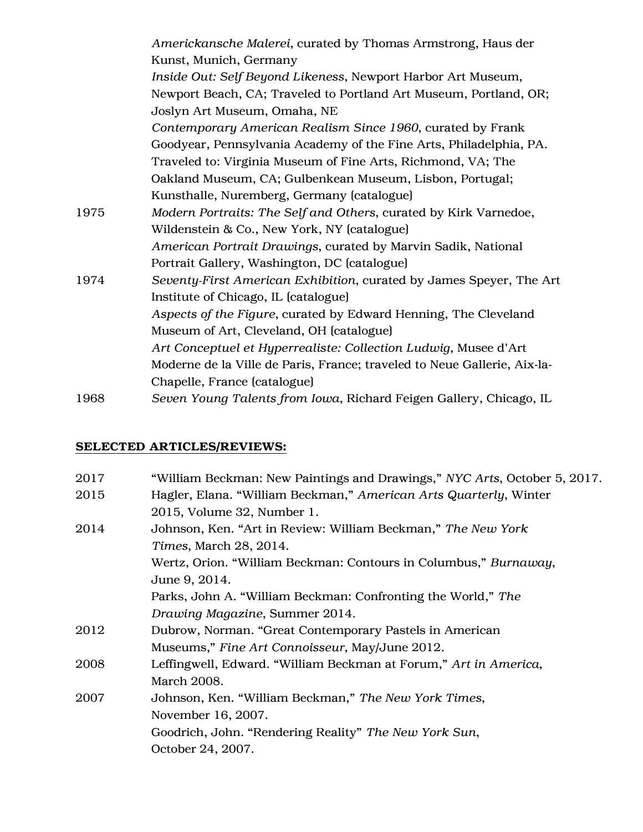|      | Americkansche Malerei, curated by Thomas Armstrong, Haus der             |
|------|--------------------------------------------------------------------------|
|      | Kunst, Munich, Germany                                                   |
|      | Inside Out: Self Beyond Likeness, Newport Harbor Art Museum,             |
|      | Newport Beach, CA; Traveled to Portland Art Museum, Portland, OR;        |
|      | Joslyn Art Museum, Omaha, NE                                             |
|      | Contemporary American Realism Since 1960, curated by Frank               |
|      | Goodyear, Pennsylvania Academy of the Fine Arts, Philadelphia, PA.       |
|      | Traveled to: Virginia Museum of Fine Arts, Richmond, VA; The             |
|      | Oakland Museum, CA; Gulbenkean Museum, Lisbon, Portugal;                 |
|      | Kunsthalle, Nuremberg, Germany (catalogue)                               |
| 1975 | Modern Portraits: The Self and Others, curated by Kirk Varnedoe,         |
|      | Wildenstein & Co., New York, NY (catalogue)                              |
|      | American Portrait Drawings, curated by Marvin Sadik, National            |
|      | Portrait Gallery, Washington, DC (catalogue)                             |
| 1974 | Seventy-First American Exhibition, curated by James Speyer, The Art      |
|      | Institute of Chicago, IL (catalogue)                                     |
|      | Aspects of the Figure, curated by Edward Henning, The Cleveland          |
|      | Museum of Art, Cleveland, OH (catalogue)                                 |
|      | Art Conceptuel et Hyperrealiste: Collection Ludwig, Musee d'Art          |
|      | Moderne de la Ville de Paris, France; traveled to Neue Gallerie, Aix-la- |
|      | Chapelle, France (catalogue)                                             |
| 1968 | Seven Young Talents from Iowa, Richard Feigen Gallery, Chicago, IL       |

# SELECTED ARTICLES/REVIEWS:

| 2017 | "William Beckman: New Paintings and Drawings," NYC Arts, October 5, 2017. |
|------|---------------------------------------------------------------------------|
| 2015 | Hagler, Elana. "William Beckman," American Arts Quarterly, Winter         |
|      | 2015, Volume 32, Number 1.                                                |
| 2014 | Johnson, Ken. "Art in Review: William Beckman," The New York              |
|      | <i>Times, March 28, 2014.</i>                                             |
|      | Wertz, Orion. "William Beckman: Contours in Columbus," Burnaway,          |
|      | June 9, 2014.                                                             |
|      | Parks, John A. "William Beckman: Confronting the World," The              |
|      | Drawing Magazine, Summer 2014.                                            |
| 2012 | Dubrow, Norman. "Great Contemporary Pastels in American                   |
|      | Museums," Fine Art Connoisseur, May/June 2012.                            |
| 2008 | Leffingwell, Edward. "William Beckman at Forum," Art in America,          |
|      | March 2008.                                                               |
| 2007 | Johnson, Ken. "William Beckman," The New York Times,                      |
|      | November 16, 2007.                                                        |
|      | Goodrich, John. "Rendering Reality" The New York Sun,                     |
|      | October 24, 2007.                                                         |
|      |                                                                           |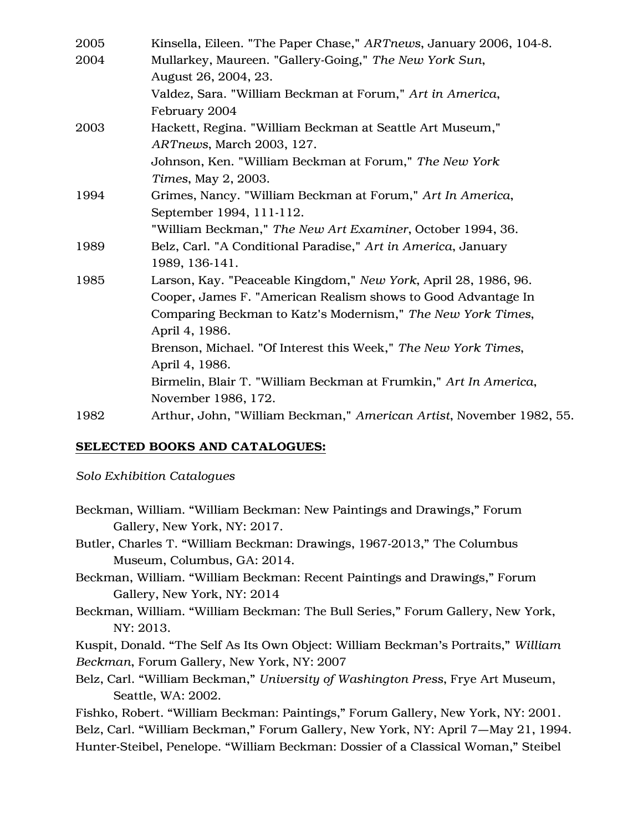| 2005 | Kinsella, Eileen. "The Paper Chase," ARTnews, January 2006, 104-8.   |
|------|----------------------------------------------------------------------|
| 2004 | Mullarkey, Maureen. "Gallery-Going," The New York Sun,               |
|      | August 26, 2004, 23.                                                 |
|      | Valdez, Sara. "William Beckman at Forum," Art in America,            |
|      | February 2004                                                        |
| 2003 | Hackett, Regina. "William Beckman at Seattle Art Museum,"            |
|      | ARTnews, March 2003, 127.                                            |
|      | Johnson, Ken. "William Beckman at Forum," The New York               |
|      | Times, May 2, 2003.                                                  |
| 1994 | Grimes, Nancy. "William Beckman at Forum," Art In America,           |
|      | September 1994, 111-112.                                             |
|      | "William Beckman," The New Art Examiner, October 1994, 36.           |
| 1989 | Belz, Carl. "A Conditional Paradise," Art in America, January        |
|      | 1989, 136-141.                                                       |
| 1985 | Larson, Kay. "Peaceable Kingdom," New York, April 28, 1986, 96.      |
|      | Cooper, James F. "American Realism shows to Good Advantage In        |
|      | Comparing Beckman to Katz's Modernism," The New York Times,          |
|      | April 4, 1986.                                                       |
|      | Brenson, Michael. "Of Interest this Week," The New York Times,       |
|      | April 4, 1986.                                                       |
|      | Birmelin, Blair T. "William Beckman at Frumkin," Art In America,     |
|      | November 1986, 172.                                                  |
| 1982 | Arthur, John, "William Beckman," American Artist, November 1982, 55. |

### SELECTED BOOKS AND CATALOGUES:

*Solo Exhibition Catalogues* 

- Beckman, William. "William Beckman: New Paintings and Drawings," Forum Gallery, New York, NY: 2017.
- Butler, Charles T. "William Beckman: Drawings, 1967-2013," The Columbus Museum, Columbus, GA: 2014.
- Beckman, William. "William Beckman: Recent Paintings and Drawings," Forum Gallery, New York, NY: 2014
- Beckman, William. "William Beckman: The Bull Series," Forum Gallery, New York, NY: 2013.

Kuspit, Donald. "The Self As Its Own Object: William Beckman's Portraits," *William Beckman*, Forum Gallery, New York, NY: 2007

Belz, Carl. "William Beckman," *University of Washington Press*, Frye Art Museum, Seattle, WA: 2002.

Fishko, Robert. "William Beckman: Paintings," Forum Gallery, New York, NY: 2001. Belz, Carl. "William Beckman," Forum Gallery, New York, NY: April 7—May 21, 1994. Hunter-Steibel, Penelope. "William Beckman: Dossier of a Classical Woman," Steibel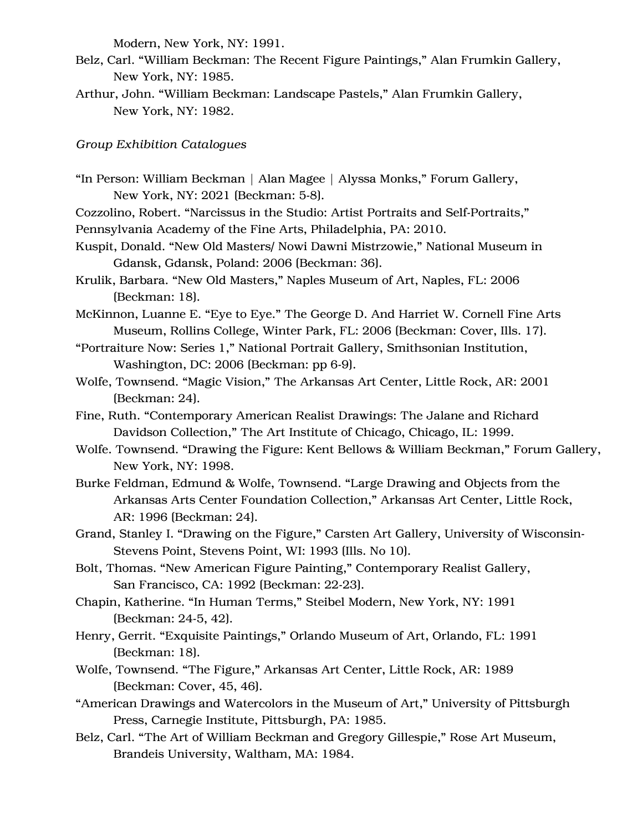Modern, New York, NY: 1991.

- Belz, Carl. "William Beckman: The Recent Figure Paintings," Alan Frumkin Gallery, New York, NY: 1985.
- Arthur, John. "William Beckman: Landscape Pastels," Alan Frumkin Gallery, New York, NY: 1982.

*Group Exhibition Catalogues*

- "In Person: William Beckman | Alan Magee | Alyssa Monks," Forum Gallery, New York, NY: 2021 (Beckman: 5-8).
- Cozzolino, Robert. "Narcissus in the Studio: Artist Portraits and Self-Portraits,"
- Pennsylvania Academy of the Fine Arts, Philadelphia, PA: 2010.
- Kuspit, Donald. "New Old Masters/ Nowi Dawni Mistrzowie," National Museum in Gdansk, Gdansk, Poland: 2006 (Beckman: 36).
- Krulik, Barbara. "New Old Masters," Naples Museum of Art, Naples, FL: 2006 (Beckman: 18).
- McKinnon, Luanne E. "Eye to Eye." The George D. And Harriet W. Cornell Fine Arts Museum, Rollins College, Winter Park, FL: 2006 (Beckman: Cover, Ills. 17).
- "Portraiture Now: Series 1," National Portrait Gallery, Smithsonian Institution, Washington, DC: 2006 (Beckman: pp 6-9).
- Wolfe, Townsend. "Magic Vision," The Arkansas Art Center, Little Rock, AR: 2001 (Beckman: 24).
- Fine, Ruth. "Contemporary American Realist Drawings: The Jalane and Richard Davidson Collection," The Art Institute of Chicago, Chicago, IL: 1999.
- Wolfe. Townsend. "Drawing the Figure: Kent Bellows & William Beckman," Forum Gallery, New York, NY: 1998.
- Burke Feldman, Edmund & Wolfe, Townsend. "Large Drawing and Objects from the Arkansas Arts Center Foundation Collection," Arkansas Art Center, Little Rock, AR: 1996 (Beckman: 24).
- Grand, Stanley I. "Drawing on the Figure," Carsten Art Gallery, University of Wisconsin-Stevens Point, Stevens Point, WI: 1993 (Ills. No 10).
- Bolt, Thomas. "New American Figure Painting," Contemporary Realist Gallery, San Francisco, CA: 1992 (Beckman: 22-23).
- Chapin, Katherine. "In Human Terms," Steibel Modern, New York, NY: 1991 (Beckman: 24-5, 42).
- Henry, Gerrit. "Exquisite Paintings," Orlando Museum of Art, Orlando, FL: 1991 (Beckman: 18).
- Wolfe, Townsend. "The Figure," Arkansas Art Center, Little Rock, AR: 1989 (Beckman: Cover, 45, 46).
- "American Drawings and Watercolors in the Museum of Art," University of Pittsburgh Press, Carnegie Institute, Pittsburgh, PA: 1985.
- Belz, Carl. "The Art of William Beckman and Gregory Gillespie," Rose Art Museum, Brandeis University, Waltham, MA: 1984.